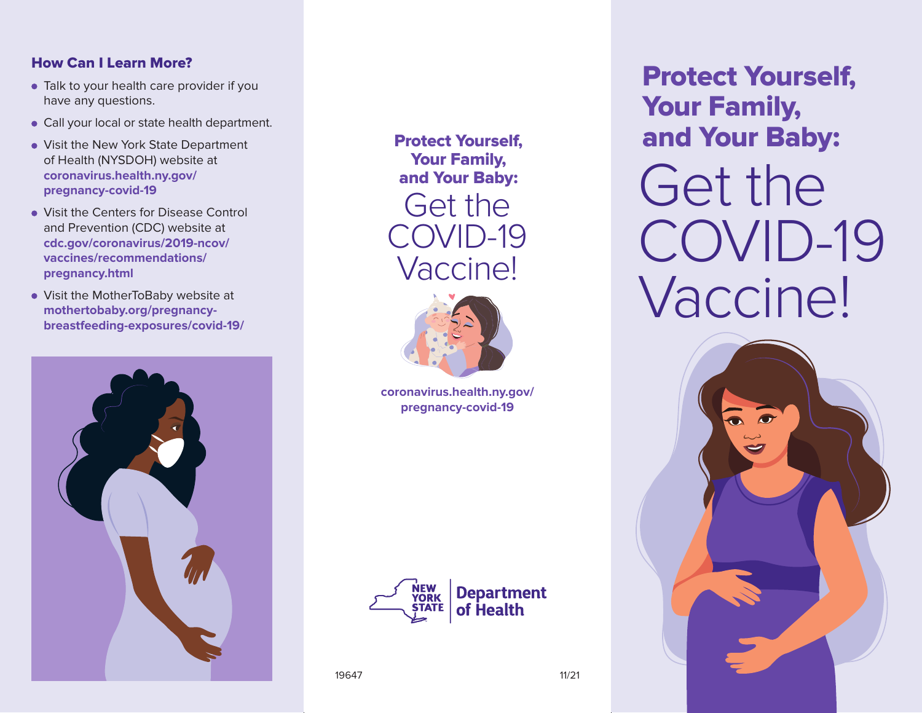## How Can I Learn More?

- Talk to your health care provider if you have any questions.
- Call your local or state health department.
- Visit the New York State Department of Health (NYSDOH) website at **coronavirus.health.ny.gov/ pregnancy-covid-19**
- **Visit the Centers for Disease Control** and Prevention (CDC) website at **cdc.gov/coronavirus/2019-ncov/ vaccines/recommendations/ pregnancy.html**
- Visit the MotherToBaby website at **mothertobaby.org/pregnancybreastfeeding-exposures/covid-19/**



Protect Yourself, Your Family, and Your Baby: Get the COVID-19 Vaccine!



**coronavirus.health.ny.gov/ pregnancy-covid-19**



19647 11/21

Protect Yourself, Your Family, and Your Baby:

Get the COVID-19 Vaccine!